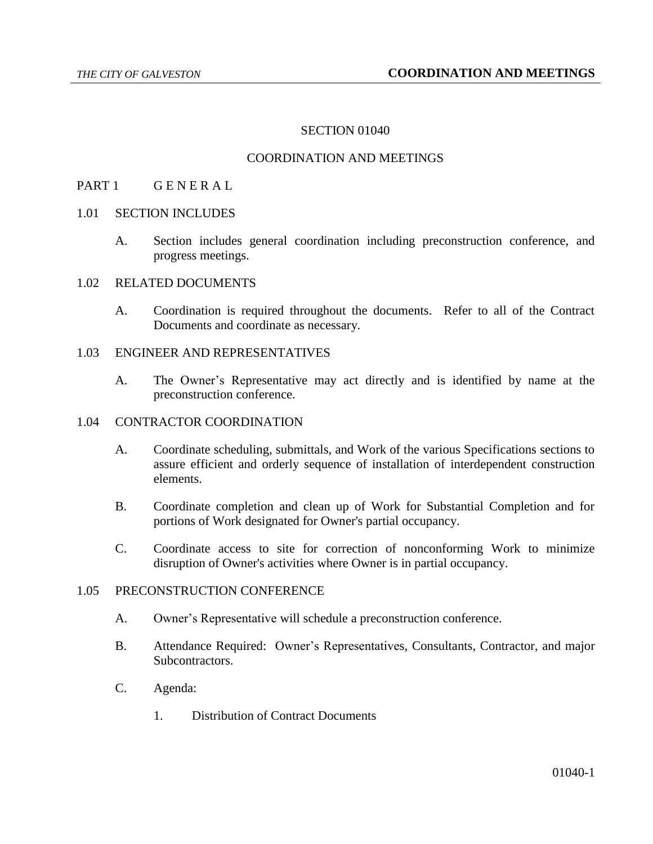#### SECTION 01040

### COORDINATION AND MEETINGS

#### PART 1 GENERAL

- 1.01 SECTION INCLUDES
	- A. Section includes general coordination including preconstruction conference, and progress meetings.

### 1.02 RELATED DOCUMENTS

A. Coordination is required throughout the documents. Refer to all of the Contract Documents and coordinate as necessary.

### 1.03 ENGINEER AND REPRESENTATIVES

A. The Owner's Representative may act directly and is identified by name at the preconstruction conference.

### 1.04 CONTRACTOR COORDINATION

- A. Coordinate scheduling, submittals, and Work of the various Specifications sections to assure efficient and orderly sequence of installation of interdependent construction elements.
- B. Coordinate completion and clean up of Work for Substantial Completion and for portions of Work designated for Owner's partial occupancy.
- C. Coordinate access to site for correction of nonconforming Work to minimize disruption of Owner's activities where Owner is in partial occupancy.

# 1.05 PRECONSTRUCTION CONFERENCE

- A. Owner's Representative will schedule a preconstruction conference.
- B. Attendance Required: Owner's Representatives, Consultants, Contractor, and major Subcontractors.
- C. Agenda:
	- 1. Distribution of Contract Documents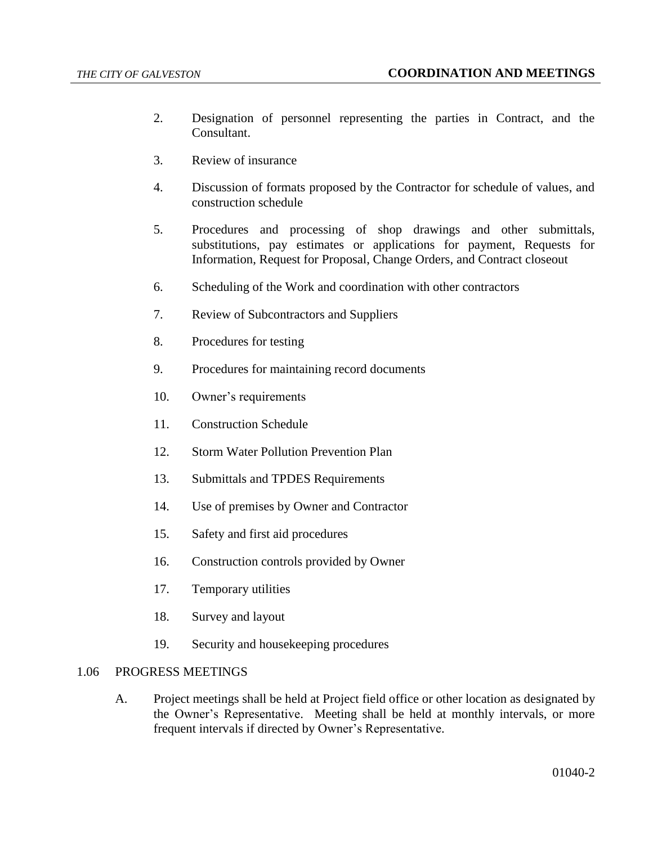- 2. Designation of personnel representing the parties in Contract, and the Consultant.
- 3. Review of insurance
- 4. Discussion of formats proposed by the Contractor for schedule of values, and construction schedule
- 5. Procedures and processing of shop drawings and other submittals, substitutions, pay estimates or applications for payment, Requests for Information, Request for Proposal, Change Orders, and Contract closeout
- 6. Scheduling of the Work and coordination with other contractors
- 7. Review of Subcontractors and Suppliers
- 8. Procedures for testing
- 9. Procedures for maintaining record documents
- 10. Owner's requirements
- 11. Construction Schedule
- 12. Storm Water Pollution Prevention Plan
- 13. Submittals and TPDES Requirements
- 14. Use of premises by Owner and Contractor
- 15. Safety and first aid procedures
- 16. Construction controls provided by Owner
- 17. Temporary utilities
- 18. Survey and layout
- 19. Security and housekeeping procedures

### 1.06 PROGRESS MEETINGS

A. Project meetings shall be held at Project field office or other location as designated by the Owner's Representative. Meeting shall be held at monthly intervals, or more frequent intervals if directed by Owner's Representative.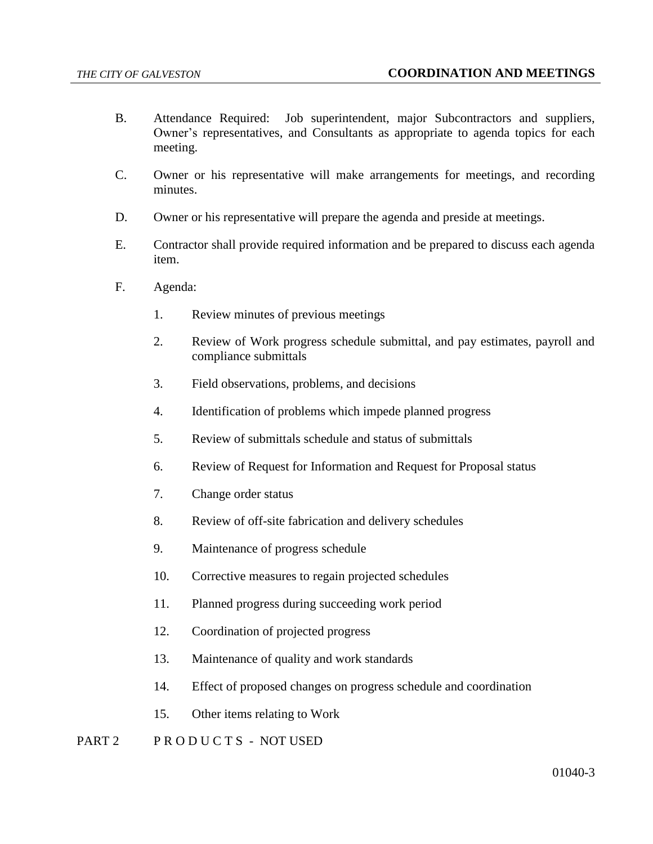- B. Attendance Required: Job superintendent, major Subcontractors and suppliers, Owner's representatives, and Consultants as appropriate to agenda topics for each meeting.
- C. Owner or his representative will make arrangements for meetings, and recording minutes.
- D. Owner or his representative will prepare the agenda and preside at meetings.
- E. Contractor shall provide required information and be prepared to discuss each agenda item.
- F. Agenda:
	- 1. Review minutes of previous meetings
	- 2. Review of Work progress schedule submittal, and pay estimates, payroll and compliance submittals
	- 3. Field observations, problems, and decisions
	- 4. Identification of problems which impede planned progress
	- 5. Review of submittals schedule and status of submittals
	- 6. Review of Request for Information and Request for Proposal status
	- 7. Change order status
	- 8. Review of off-site fabrication and delivery schedules
	- 9. Maintenance of progress schedule
	- 10. Corrective measures to regain projected schedules
	- 11. Planned progress during succeeding work period
	- 12. Coordination of projected progress
	- 13. Maintenance of quality and work standards
	- 14. Effect of proposed changes on progress schedule and coordination
	- 15. Other items relating to Work

### PART 2 PRODUCTS - NOT USED